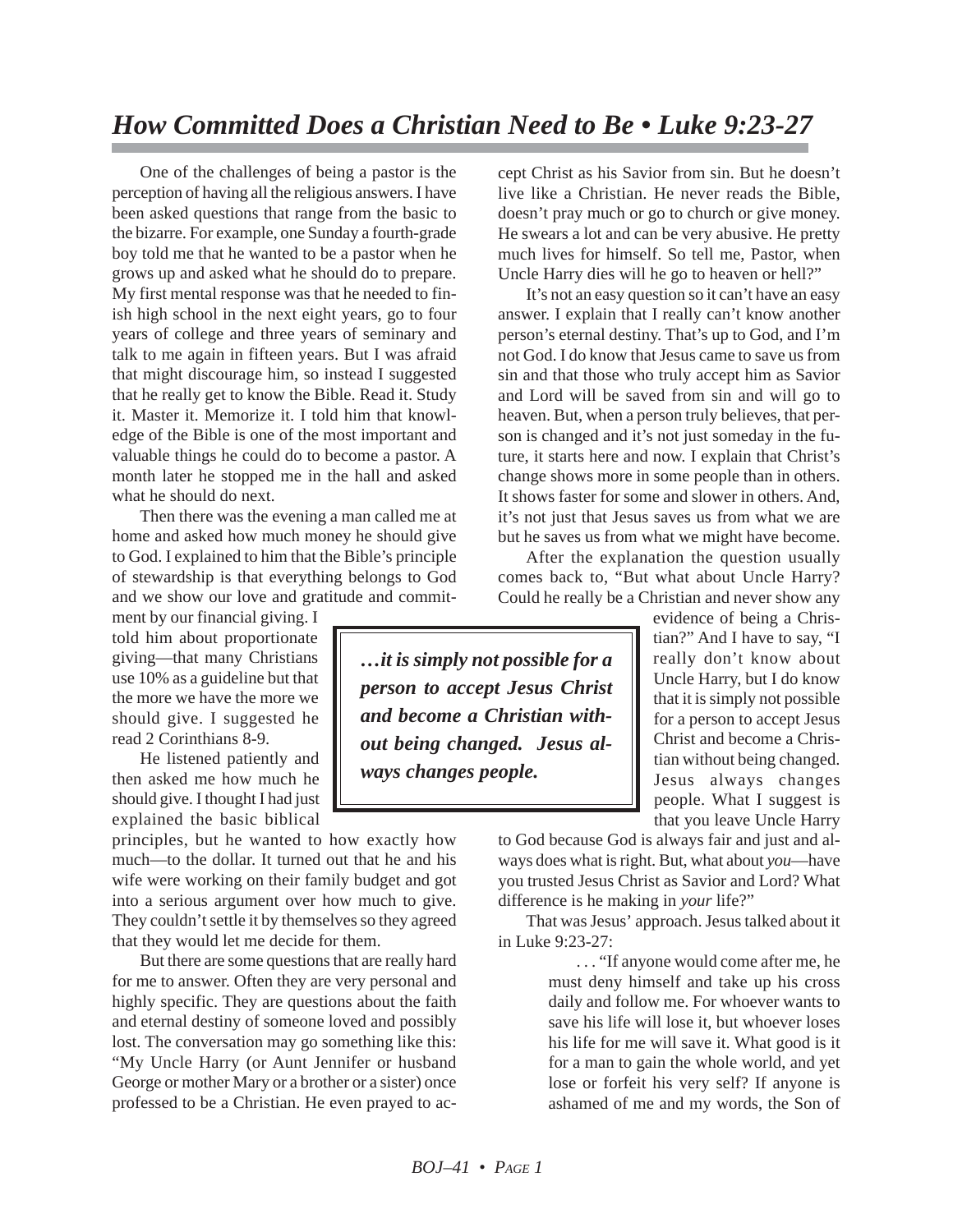## *How Committed Does a Christian Need to Be • Luke 9:23-27*

One of the challenges of being a pastor is the perception of having all the religious answers. I have been asked questions that range from the basic to the bizarre. For example, one Sunday a fourth-grade boy told me that he wanted to be a pastor when he grows up and asked what he should do to prepare. My first mental response was that he needed to finish high school in the next eight years, go to four years of college and three years of seminary and talk to me again in fifteen years. But I was afraid that might discourage him, so instead I suggested that he really get to know the Bible. Read it. Study it. Master it. Memorize it. I told him that knowledge of the Bible is one of the most important and valuable things he could do to become a pastor. A month later he stopped me in the hall and asked what he should do next.

Then there was the evening a man called me at home and asked how much money he should give to God. I explained to him that the Bible's principle of stewardship is that everything belongs to God and we show our love and gratitude and commit-

ment by our financial giving. I told him about proportionate giving—that many Christians use 10% as a guideline but that the more we have the more we should give. I suggested he read 2 Corinthians 8-9.

He listened patiently and then asked me how much he should give. I thought I had just explained the basic biblical

principles, but he wanted to how exactly how much—to the dollar. It turned out that he and his wife were working on their family budget and got into a serious argument over how much to give. They couldn't settle it by themselves so they agreed that they would let me decide for them.

But there are some questions that are really hard for me to answer. Often they are very personal and highly specific. They are questions about the faith and eternal destiny of someone loved and possibly lost. The conversation may go something like this: "My Uncle Harry (or Aunt Jennifer or husband George or mother Mary or a brother or a sister) once professed to be a Christian. He even prayed to accept Christ as his Savior from sin. But he doesn't live like a Christian. He never reads the Bible, doesn't pray much or go to church or give money. He swears a lot and can be very abusive. He pretty much lives for himself. So tell me, Pastor, when Uncle Harry dies will he go to heaven or hell?"

It's not an easy question so it can't have an easy answer. I explain that I really can't know another person's eternal destiny. That's up to God, and I'm not God. I do know that Jesus came to save us from sin and that those who truly accept him as Savior and Lord will be saved from sin and will go to heaven. But, when a person truly believes, that person is changed and it's not just someday in the future, it starts here and now. I explain that Christ's change shows more in some people than in others. It shows faster for some and slower in others. And, it's not just that Jesus saves us from what we are but he saves us from what we might have become.

After the explanation the question usually comes back to, "But what about Uncle Harry? Could he really be a Christian and never show any

> evidence of being a Christian?" And I have to say, "I really don't know about Uncle Harry, but I do know that it is simply not possible for a person to accept Jesus Christ and become a Christian without being changed. Jesus always changes people. What I suggest is that you leave Uncle Harry

to God because God is always fair and just and always does what is right. But, what about *you*—have you trusted Jesus Christ as Savior and Lord? What difference is he making in *your* life?"

That was Jesus' approach. Jesus talked about it in Luke 9:23-27:

> . . . "If anyone would come after me, he must deny himself and take up his cross daily and follow me. For whoever wants to save his life will lose it, but whoever loses his life for me will save it. What good is it for a man to gain the whole world, and yet lose or forfeit his very self? If anyone is ashamed of me and my words, the Son of

*…it is simply not possible for a person to accept Jesus Christ and become a Christian without being changed. Jesus always changes people.*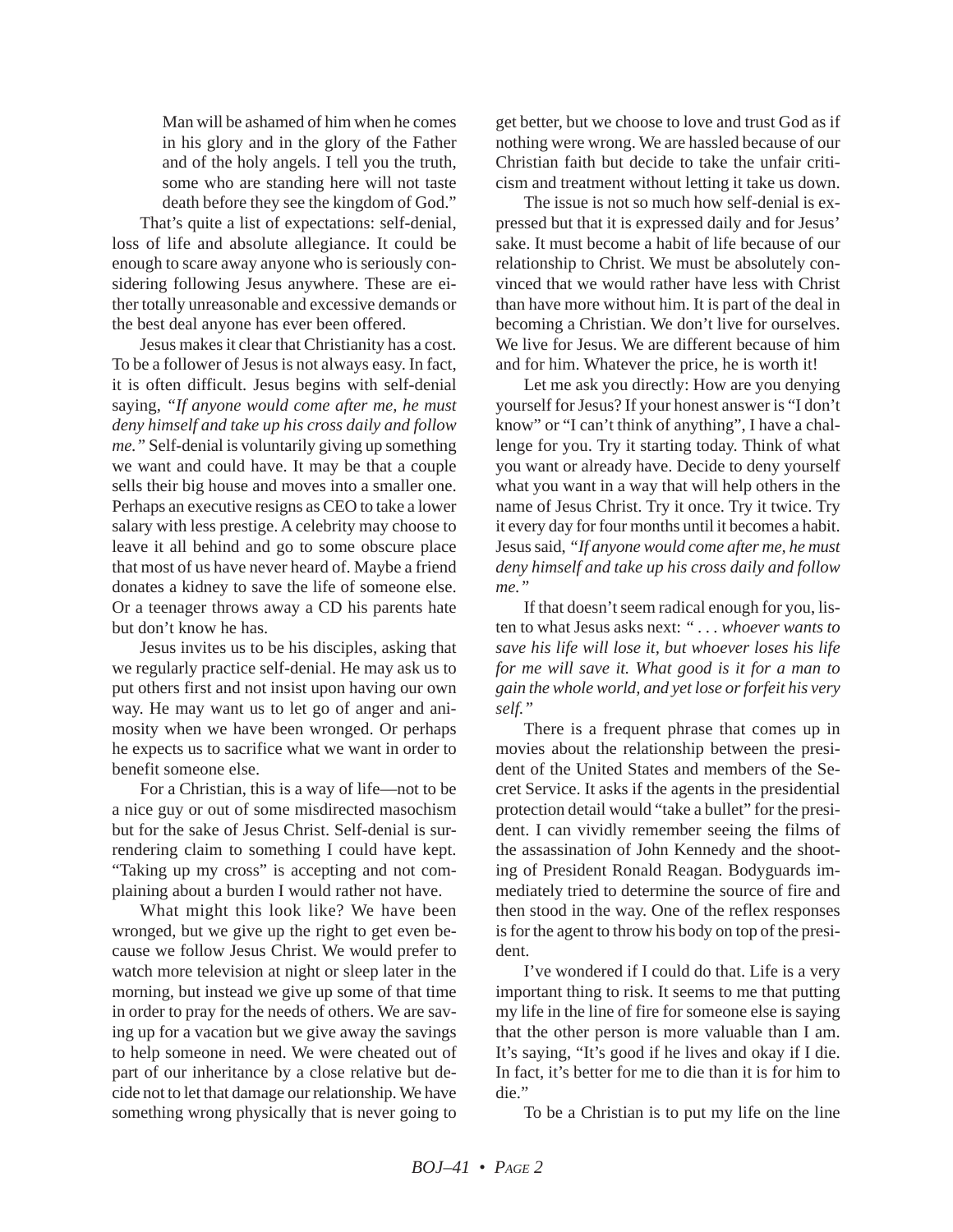Man will be ashamed of him when he comes in his glory and in the glory of the Father and of the holy angels. I tell you the truth, some who are standing here will not taste death before they see the kingdom of God."

That's quite a list of expectations: self-denial, loss of life and absolute allegiance. It could be enough to scare away anyone who is seriously considering following Jesus anywhere. These are either totally unreasonable and excessive demands or the best deal anyone has ever been offered.

Jesus makes it clear that Christianity has a cost. To be a follower of Jesus is not always easy. In fact, it is often difficult. Jesus begins with self-denial saying, *"If anyone would come after me, he must deny himself and take up his cross daily and follow me."* Self-denial is voluntarily giving up something we want and could have. It may be that a couple sells their big house and moves into a smaller one. Perhaps an executive resigns as CEO to take a lower salary with less prestige. A celebrity may choose to leave it all behind and go to some obscure place that most of us have never heard of. Maybe a friend donates a kidney to save the life of someone else. Or a teenager throws away a CD his parents hate but don't know he has.

Jesus invites us to be his disciples, asking that we regularly practice self-denial. He may ask us to put others first and not insist upon having our own way. He may want us to let go of anger and animosity when we have been wronged. Or perhaps he expects us to sacrifice what we want in order to benefit someone else.

For a Christian, this is a way of life—not to be a nice guy or out of some misdirected masochism but for the sake of Jesus Christ. Self-denial is surrendering claim to something I could have kept. "Taking up my cross" is accepting and not complaining about a burden I would rather not have.

What might this look like? We have been wronged, but we give up the right to get even because we follow Jesus Christ. We would prefer to watch more television at night or sleep later in the morning, but instead we give up some of that time in order to pray for the needs of others. We are saving up for a vacation but we give away the savings to help someone in need. We were cheated out of part of our inheritance by a close relative but decide not to let that damage our relationship. We have something wrong physically that is never going to get better, but we choose to love and trust God as if nothing were wrong. We are hassled because of our Christian faith but decide to take the unfair criticism and treatment without letting it take us down.

The issue is not so much how self-denial is expressed but that it is expressed daily and for Jesus' sake. It must become a habit of life because of our relationship to Christ. We must be absolutely convinced that we would rather have less with Christ than have more without him. It is part of the deal in becoming a Christian. We don't live for ourselves. We live for Jesus. We are different because of him and for him. Whatever the price, he is worth it!

Let me ask you directly: How are you denying yourself for Jesus? If your honest answer is "I don't know" or "I can't think of anything", I have a challenge for you. Try it starting today. Think of what you want or already have. Decide to deny yourself what you want in a way that will help others in the name of Jesus Christ. Try it once. Try it twice. Try it every day for four months until it becomes a habit. Jesus said, *"If anyone would come after me, he must deny himself and take up his cross daily and follow me."*

If that doesn't seem radical enough for you, listen to what Jesus asks next: *" . . . whoever wants to save his life will lose it, but whoever loses his life for me will save it. What good is it for a man to gain the whole world, and yet lose or forfeit his very self."*

There is a frequent phrase that comes up in movies about the relationship between the president of the United States and members of the Secret Service. It asks if the agents in the presidential protection detail would "take a bullet" for the president. I can vividly remember seeing the films of the assassination of John Kennedy and the shooting of President Ronald Reagan. Bodyguards immediately tried to determine the source of fire and then stood in the way. One of the reflex responses is for the agent to throw his body on top of the president.

I've wondered if I could do that. Life is a very important thing to risk. It seems to me that putting my life in the line of fire for someone else is saying that the other person is more valuable than I am. It's saying, "It's good if he lives and okay if I die. In fact, it's better for me to die than it is for him to die."

To be a Christian is to put my life on the line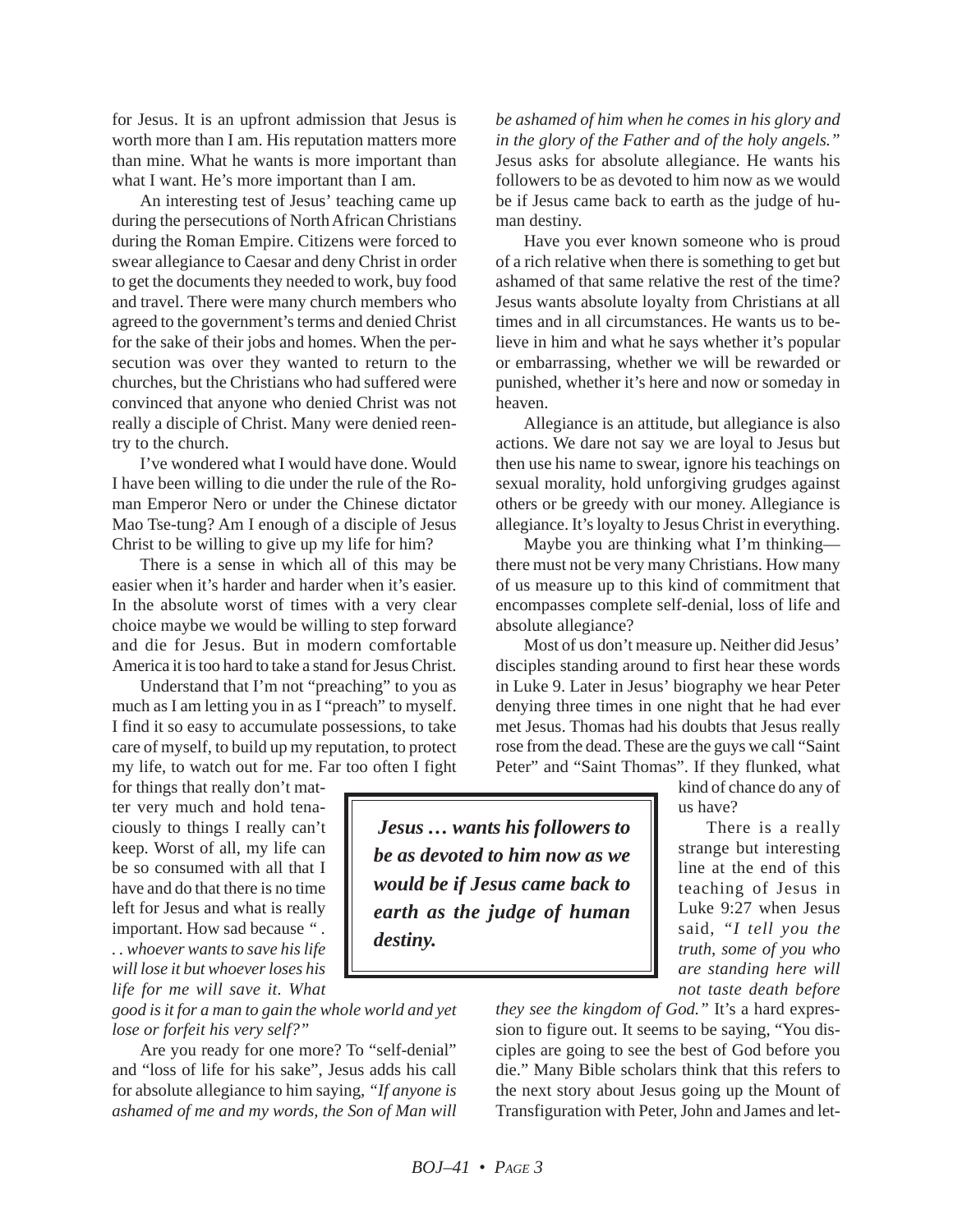for Jesus. It is an upfront admission that Jesus is worth more than I am. His reputation matters more than mine. What he wants is more important than what I want. He's more important than I am.

An interesting test of Jesus' teaching came up during the persecutions of North African Christians during the Roman Empire. Citizens were forced to swear allegiance to Caesar and deny Christ in order to get the documents they needed to work, buy food and travel. There were many church members who agreed to the government's terms and denied Christ for the sake of their jobs and homes. When the persecution was over they wanted to return to the churches, but the Christians who had suffered were convinced that anyone who denied Christ was not really a disciple of Christ. Many were denied reentry to the church.

I've wondered what I would have done. Would I have been willing to die under the rule of the Roman Emperor Nero or under the Chinese dictator Mao Tse-tung? Am I enough of a disciple of Jesus Christ to be willing to give up my life for him?

There is a sense in which all of this may be easier when it's harder and harder when it's easier. In the absolute worst of times with a very clear choice maybe we would be willing to step forward and die for Jesus. But in modern comfortable America it is too hard to take a stand for Jesus Christ.

Understand that I'm not "preaching" to you as much as I am letting you in as I "preach" to myself. I find it so easy to accumulate possessions, to take care of myself, to build up my reputation, to protect my life, to watch out for me. Far too often I fight

for things that really don't matter very much and hold tenaciously to things I really can't keep. Worst of all, my life can be so consumed with all that I have and do that there is no time left for Jesus and what is really important. How sad because *" . . . whoever wants to save his life will lose it but whoever loses his life for me will save it. What*

*good is it for a man to gain the whole world and yet lose or forfeit his very self?"*

Are you ready for one more? To "self-denial" and "loss of life for his sake", Jesus adds his call for absolute allegiance to him saying, *"If anyone is ashamed of me and my words, the Son of Man will* *be ashamed of him when he comes in his glory and in the glory of the Father and of the holy angels."* Jesus asks for absolute allegiance. He wants his followers to be as devoted to him now as we would be if Jesus came back to earth as the judge of human destiny.

Have you ever known someone who is proud of a rich relative when there is something to get but ashamed of that same relative the rest of the time? Jesus wants absolute loyalty from Christians at all times and in all circumstances. He wants us to believe in him and what he says whether it's popular or embarrassing, whether we will be rewarded or punished, whether it's here and now or someday in heaven.

Allegiance is an attitude, but allegiance is also actions. We dare not say we are loyal to Jesus but then use his name to swear, ignore his teachings on sexual morality, hold unforgiving grudges against others or be greedy with our money. Allegiance is allegiance. It's loyalty to Jesus Christ in everything.

Maybe you are thinking what I'm thinking there must not be very many Christians. How many of us measure up to this kind of commitment that encompasses complete self-denial, loss of life and absolute allegiance?

Most of us don't measure up. Neither did Jesus' disciples standing around to first hear these words in Luke 9. Later in Jesus' biography we hear Peter denying three times in one night that he had ever met Jesus. Thomas had his doubts that Jesus really rose from the dead. These are the guys we call "Saint Peter" and "Saint Thomas". If they flunked, what

kind of chance do any of us have?

*Jesus … wants his followers to be as devoted to him now as we would be if Jesus came back to earth as the judge of human destiny.*

There is a really strange but interesting line at the end of this teaching of Jesus in Luke 9:27 when Jesus said, *"I tell you the truth, some of you who are standing here will not taste death before*

*they see the kingdom of God."* It's a hard expression to figure out. It seems to be saying, "You disciples are going to see the best of God before you die." Many Bible scholars think that this refers to the next story about Jesus going up the Mount of Transfiguration with Peter, John and James and let